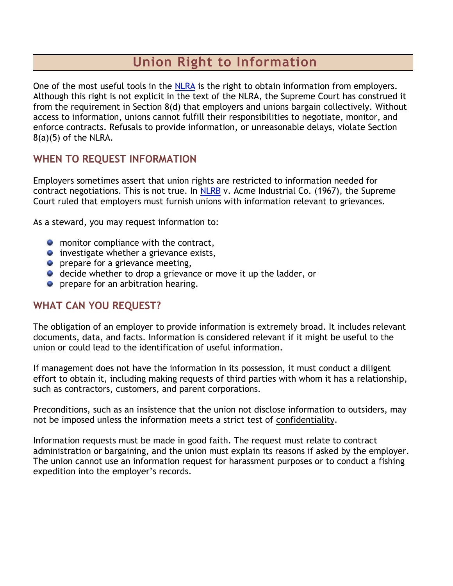# **Union Right to Information**

One of the most useful tools in the [NLRA](http://www.pace8-675.org/education/right-to-info.html#NLRA#NLRA) is the right to obtain information from employers. Although this right is not explicit in the text of the NLRA, the Supreme Court has construed it from the requirement in Section 8(d) that employers and unions bargain collectively. Without access to information, unions cannot fulfill their responsibilities to negotiate, monitor, and enforce contracts. Refusals to provide information, or unreasonable delays, violate Section  $8(a)(5)$  of the NLRA.

## **WHEN TO REQUEST INFORMATION**

Employers sometimes assert that union rights are restricted to information needed for contract negotiations. This is not true. In [NLRB](http://www.pace8-675.org/education/right-to-info.html#NLRB-text#NLRB-text) v. Acme Industrial Co. (1967), the Supreme Court ruled that employers must furnish unions with information relevant to grievances.

As a steward, you may request information to:

- **O** monitor compliance with the contract,
- **•** investigate whether a grievance exists,
- **P** prepare for a grievance meeting,
- **O** decide whether to drop a grievance or move it up the ladder, or
- **•** prepare for an arbitration hearing.

### **WHAT CAN YOU REQUEST?**

The obligation of an employer to provide information is extremely broad. It includes relevant documents, data, and facts. Information is considered relevant if it might be useful to the union or could lead to the identification of useful information.

If management does not have the information in its possession, it must conduct a diligent effort to obtain it, including making requests of third parties with whom it has a relationship, such as contractors, customers, and parent corporations.

Preconditions, such as an insistence that the union not disclose information to outsiders, may not be imposed unless the information meets a strict test of [confidentiality.](http://www.pace8-675.org/education/right-to-info.html#Confidentiality#Confidentiality)

Information requests must be made in good faith. The request must relate to contract administration or bargaining, and the union must explain its reasons if asked by the employer. The union cannot use an information request for harassment purposes or to conduct a fishing expedition into the employer's records.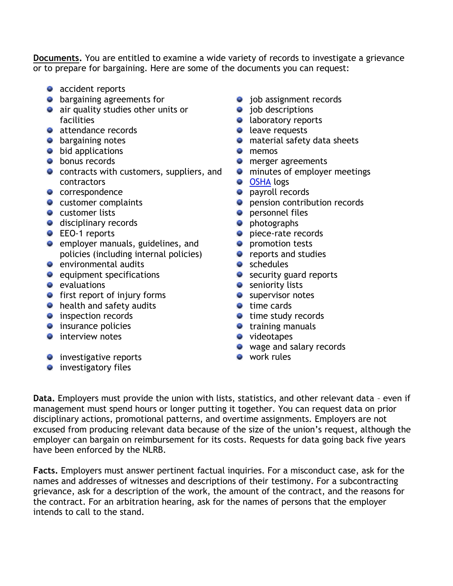**Documents.** You are entitled to examine a wide variety of records to investigate a grievance or to prepare for bargaining. Here are some of the documents you can request:

- accident reports
- **•** bargaining agreements for
- **a** air quality studies other units or facilities
- attendance records
- **•** bargaining notes
- **•** bid applications
- **•** bonus records
- **•** contracts with customers, suppliers, and contractors
- correspondence
- **C** customer complaints
- **•** customer lists
- **disciplinary records**
- **C** EEO-1 reports
- **e** employer manuals, guidelines, and policies (including internal policies)
- **e** environmental audits
- $\bullet$  equipment specifications
- **evaluations**
- $\bullet$  first report of injury forms
- **•** health and safety audits
- **•** inspection records
- $\bullet$  insurance policies
- $\bullet$  interview notes
- **O** investigative reports
- $\bullet$  investigatory files
- **•** job assignment records
- **o** job descriptions
- **a** laboratory reports
- **leave requests**
- **O** material safety data sheets
- **o** memos
- **O** merger agreements
- **O** minutes of employer meetings
- **[OSHA](http://www.pace8-675.org/education/right-to-info.html#OSHA#OSHA) logs**
- **•** payroll records
- **P** pension contribution records
- **O** personnel files
- **O** photographs
- **piece-rate records**
- **P** promotion tests
- **•** reports and studies
- schedules
- security guard reports
- **O** seniority lists
- **Supervisor notes**
- **time cards**
- **time study records**
- **•** training manuals
- **videotapes**
- wage and salary records
- **work rules**

**Data.** Employers must provide the union with lists, statistics, and other relevant data – even if management must spend hours or longer putting it together. You can request data on prior disciplinary actions, promotional patterns, and overtime assignments. Employers are not excused from producing relevant data because of the size of the union's request, although the employer can bargain on reimbursement for its costs. Requests for data going back five years have been enforced by the NLRB.

**Facts.** Employers must answer pertinent factual inquiries. For a misconduct case, ask for the names and addresses of witnesses and descriptions of their testimony. For a subcontracting grievance, ask for a description of the work, the amount of the contract, and the reasons for the contract. For an arbitration hearing, ask for the names of persons that the employer intends to call to the stand.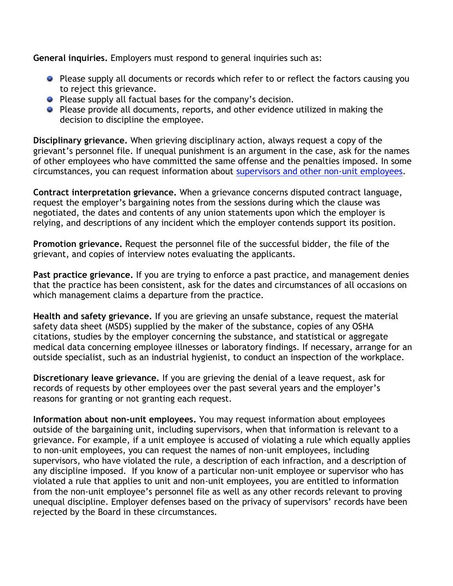**General inquiries.** Employers must respond to general inquiries such as:

- **P** Please supply all documents or records which refer to or reflect the factors causing you to reject this grievance.
- **Please supply all factual bases for the company's decision.**
- **Please provide all documents, reports, and other evidence utilized in making the** decision to discipline the employee.

**Disciplinary grievance.** When grieving disciplinary action, always request a copy of the grievant's personnel file. If unequal punishment is an argument in the case, ask for the names of other employees who have committed the same offense and the penalties imposed. In some circumstances, you can request information about [supervisors and other non-unit employees.](http://www.pace8-675.org/education/right-to-info.html#non-unit-ees#non-unit-ees)

**Contract interpretation grievance.** When a grievance concerns disputed contract language, request the employer's bargaining notes from the sessions during which the clause was negotiated, the dates and contents of any union statements upon which the employer is relying, and descriptions of any incident which the employer contends support its position.

**Promotion grievance.** Request the personnel file of the successful bidder, the file of the grievant, and copies of interview notes evaluating the applicants.

**Past practice grievance.** If you are trying to enforce a past practice, and management denies that the practice has been consistent, ask for the dates and circumstances of all occasions on which management claims a departure from the practice.

**Health and safety grievance.** If you are grieving an unsafe substance, request the material safety data sheet (MSDS) supplied by the maker of the substance, copies of any OSHA citations, studies by the employer concerning the substance, and statistical or aggregate medical data concerning employee illnesses or laboratory findings. If necessary, arrange for an outside specialist, such as an industrial hygienist, to conduct an inspection of the workplace.

**Discretionary leave grievance.** If you are grieving the denial of a leave request, ask for records of requests by other employees over the past several years and the employer's reasons for granting or not granting each request.

**Information about non-unit employees.** You may request information about employees outside of the bargaining unit, including supervisors, when that information is relevant to a grievance. For example, if a unit employee is accused of violating a rule which equally applies to non-unit employees, you can request the names of non-unit employees, including supervisors, who have violated the rule, a description of each infraction, and a description of any discipline imposed. If you know of a particular non-unit employee or supervisor who has violated a rule that applies to unit and non-unit employees, you are entitled to information from the non-unit employee's personnel file as well as any other records relevant to proving unequal discipline. Employer defenses based on the privacy of supervisors' records have been rejected by the Board in these circumstances.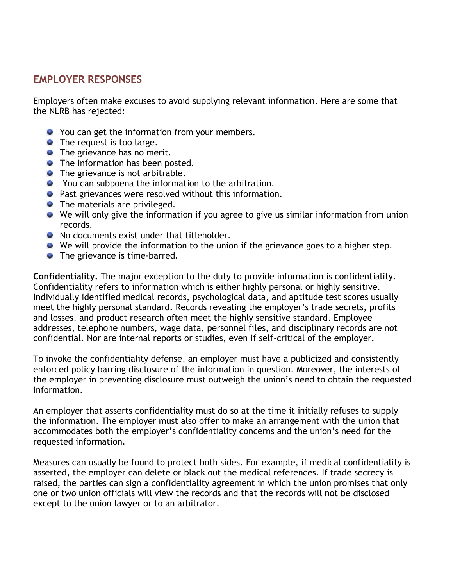## **EMPLOYER RESPONSES**

Employers often make excuses to avoid supplying relevant information. Here are some that the NLRB has rejected:

- You can get the information from your members.
- The request is too large.
- The grievance has no merit.
- **•** The information has been posted.
- The grievance is not arbitrable.
- You can subpoena the information to the arbitration.
- **•** Past grievances were resolved without this information.
- The materials are privileged.
- We will only give the information if you agree to give us similar information from union records.
- No documents exist under that titleholder.
- We will provide the information to the union if the grievance goes to a higher step.
- The grievance is time-barred.

**Confidentiality.** The major exception to the duty to provide information is confidentiality. Confidentiality refers to information which is either highly personal or highly sensitive. Individually identified medical records, psychological data, and aptitude test scores usually meet the highly personal standard. Records revealing the employer's trade secrets, profits and losses, and product research often meet the highly sensitive standard. Employee addresses, telephone numbers, wage data, personnel files, and disciplinary records are not confidential. Nor are internal reports or studies, even if self-critical of the employer.

To invoke the confidentiality defense, an employer must have a publicized and consistently enforced policy barring disclosure of the information in question. Moreover, the interests of the employer in preventing disclosure must outweigh the union's need to obtain the requested information.

An employer that asserts confidentiality must do so at the time it initially refuses to supply the information. The employer must also offer to make an arrangement with the union that accommodates both the employer's confidentiality concerns and the union's need for the requested information.

Measures can usually be found to protect both sides. For example, if medical confidentiality is asserted, the employer can delete or black out the medical references. If trade secrecy is raised, the parties can sign a confidentiality agreement in which the union promises that only one or two union officials will view the records and that the records will not be disclosed except to the union lawyer or to an arbitrator.